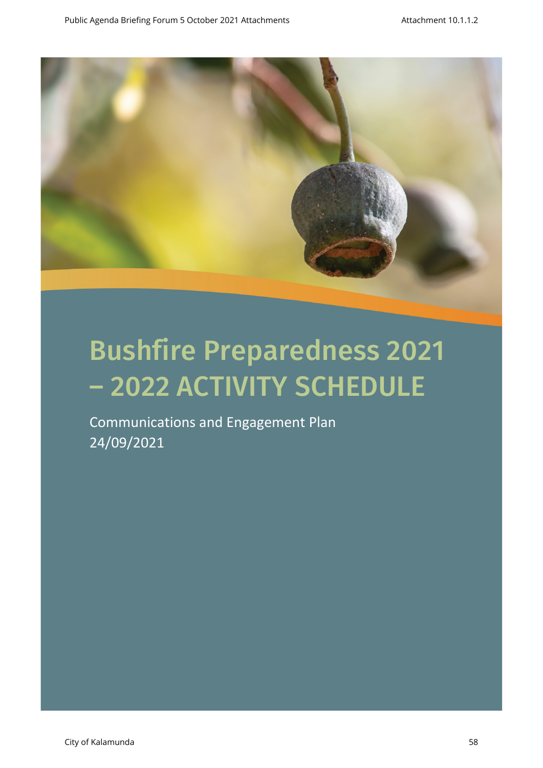

Communications and Engagement Plan 24/09/2021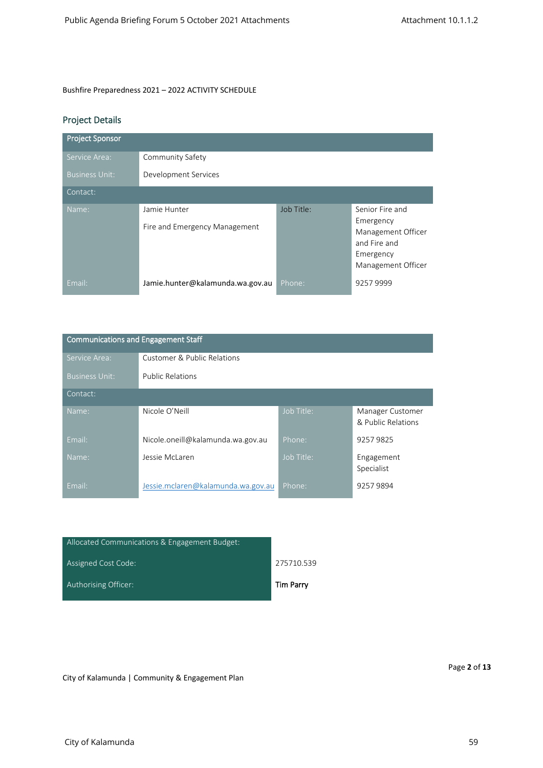# Project Details

| <b>Project Sponsor</b> |                                               |            |                                                                                                       |
|------------------------|-----------------------------------------------|------------|-------------------------------------------------------------------------------------------------------|
| Service Area:          | Community Safety                              |            |                                                                                                       |
| <b>Business Unit:</b>  | Development Services                          |            |                                                                                                       |
| Contact:               |                                               |            |                                                                                                       |
| Name:                  | Jamie Hunter<br>Fire and Emergency Management | Job Title: | Senior Fire and<br>Emergency<br>Management Officer<br>and Fire and<br>Emergency<br>Management Officer |
| Email:                 | Jamie.hunter@kalamunda.wa.gov.au              | Phone:     | 92579999                                                                                              |

| <b>Communications and Engagement Staff</b> |                                    |            |                                        |  |  |
|--------------------------------------------|------------------------------------|------------|----------------------------------------|--|--|
| Service Area:                              | Customer & Public Relations        |            |                                        |  |  |
| <b>Business Unit:</b>                      | <b>Public Relations</b>            |            |                                        |  |  |
| Contact:                                   |                                    |            |                                        |  |  |
| Name:                                      | Nicole O'Neill                     | Job Title: | Manager Customer<br>& Public Relations |  |  |
| Email:                                     | Nicole.oneill@kalamunda.wa.gov.au  | Phone:     | 92579825                               |  |  |
| Name:                                      | Jessie McLaren                     | Job Title: | Engagement<br>Specialist               |  |  |
| Email:                                     | Jessie.mclaren@kalamunda.wa.gov.au | Phone:     | 92579894                               |  |  |

| Allocated Communications & Engagement Budget: |            |
|-----------------------------------------------|------------|
| Assigned Cost Code:                           | 275710.539 |
| Authorising Officer:                          | Tim Parry  |

City of Kalamunda | Community & Engagement Plan

Page **2** of **13**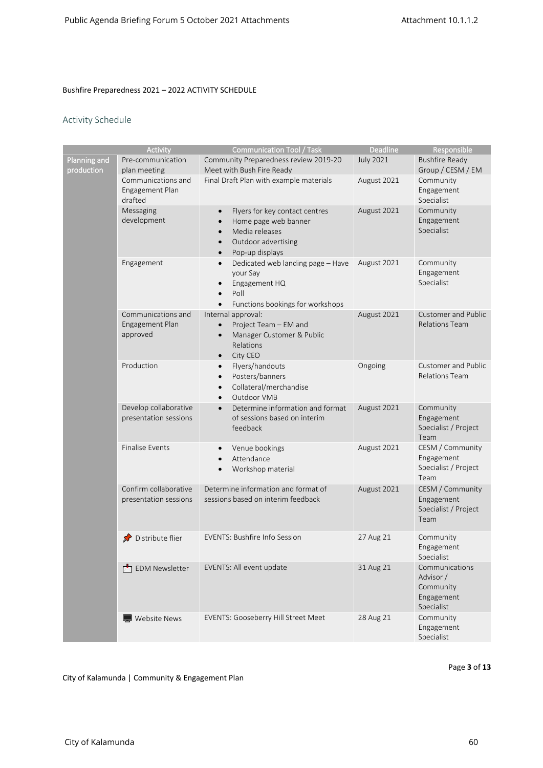## Activity Schedule

|              | Activity               | <b>Communication Tool / Task</b>               | Deadline         | Responsible                |
|--------------|------------------------|------------------------------------------------|------------------|----------------------------|
| Planning and | Pre-communication      | Community Preparedness review 2019-20          | <b>July 2021</b> | <b>Bushfire Ready</b>      |
| production   | plan meeting           | Meet with Bush Fire Ready                      |                  | Group / CESM / EM          |
|              | Communications and     | Final Draft Plan with example materials        | August 2021      | Community                  |
|              | Engagement Plan        |                                                |                  | Engagement                 |
|              | drafted                |                                                |                  | Specialist                 |
|              | Messaging              | Flyers for key contact centres<br>$\bullet$    | August 2021      | Community                  |
|              | development            | Home page web banner                           |                  | Engagement                 |
|              |                        | Media releases<br>$\bullet$                    |                  | Specialist                 |
|              |                        | Outdoor advertising<br>$\bullet$               |                  |                            |
|              |                        | Pop-up displays<br>$\bullet$                   |                  |                            |
|              | Engagement             | Dedicated web landing page - Have<br>$\bullet$ | August 2021      | Community                  |
|              |                        | your Say<br>Engagement HQ<br>$\bullet$         |                  | Engagement<br>Specialist   |
|              |                        | Poll<br>$\bullet$                              |                  |                            |
|              |                        | Functions bookings for workshops<br>$\bullet$  |                  |                            |
|              | Communications and     | Internal approval:                             | August 2021      | Customer and Public        |
|              | Engagement Plan        | Project Team - EM and<br>$\bullet$             |                  | <b>Relations Team</b>      |
|              | approved               | Manager Customer & Public<br>$\bullet$         |                  |                            |
|              |                        | Relations                                      |                  |                            |
|              |                        | City CEO<br>$\bullet$                          |                  |                            |
|              | Production             | Flyers/handouts<br>$\bullet$                   | Ongoing          | <b>Customer and Public</b> |
|              |                        | Posters/banners<br>$\bullet$                   |                  | <b>Relations Team</b>      |
|              |                        | Collateral/merchandise<br>$\bullet$            |                  |                            |
|              |                        | Outdoor VMB<br>$\bullet$                       |                  |                            |
|              | Develop collaborative  | Determine information and format<br>$\bullet$  | August 2021      | Community                  |
|              | presentation sessions  | of sessions based on interim                   |                  | Engagement                 |
|              |                        | feedback                                       |                  | Specialist / Project       |
|              | <b>Finalise Events</b> | Venue bookings<br>$\bullet$                    | August 2021      | Team<br>CESM / Community   |
|              |                        | Attendance<br>$\bullet$                        |                  | Engagement                 |
|              |                        | Workshop material<br>$\bullet$                 |                  | Specialist / Project       |
|              |                        |                                                |                  | Team                       |
|              | Confirm collaborative  | Determine information and format of            | August 2021      | CESM / Community           |
|              | presentation sessions  | sessions based on interim feedback             |                  | Engagement                 |
|              |                        |                                                |                  | Specialist / Project       |
|              |                        |                                                |                  | Team                       |
|              | Distribute flier       | <b>EVENTS: Bushfire Info Session</b>           | 27 Aug 21        | Community                  |
|              |                        |                                                |                  | Engagement                 |
|              |                        |                                                |                  | Specialist                 |
|              | EDM Newsletter         | EVENTS: All event update                       | 31 Aug 21        | Communications             |
|              |                        |                                                |                  | Advisor /                  |
|              |                        |                                                |                  | Community                  |
|              |                        |                                                |                  | Engagement                 |
|              |                        |                                                |                  | Specialist                 |
|              | Website News           | <b>EVENTS: Gooseberry Hill Street Meet</b>     | 28 Aug 21        | Community                  |
|              |                        |                                                |                  | Engagement<br>Specialist   |
|              |                        |                                                |                  |                            |

Page **3** of **13**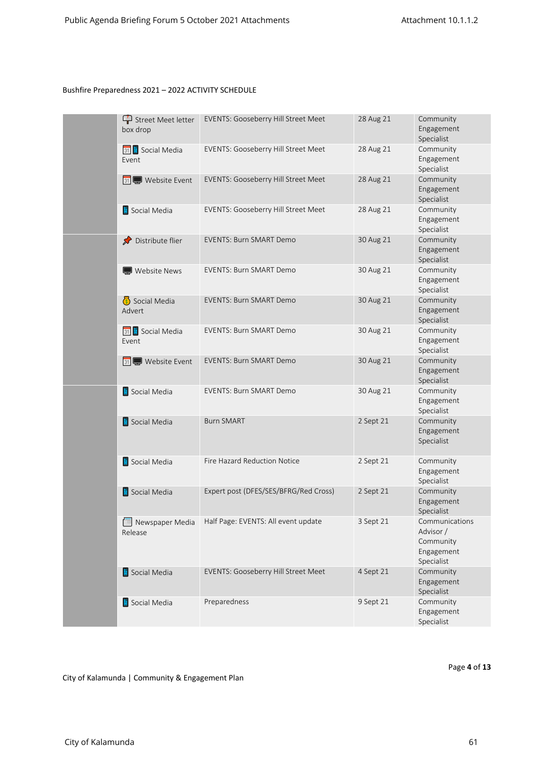| Street Meet letter<br>box drop | EVENTS: Gooseberry Hill Street Meet                 | 28 Aug 21 | Community<br>Engagement<br>Specialist                                |
|--------------------------------|-----------------------------------------------------|-----------|----------------------------------------------------------------------|
| 31 Social Media<br>Event       | EVENTS: Gooseberry Hill Street Meet                 | 28 Aug 21 | Community<br>Engagement<br>Specialist                                |
| 31 Website Event               | EVENTS: Gooseberry Hill Street Meet                 | 28 Aug 21 | Community<br>Engagement<br>Specialist                                |
| Social Media                   | EVENTS: Gooseberry Hill Street Meet                 | 28 Aug 21 | Community<br>Engagement<br>Specialist                                |
| Distribute flier               | <b>EVENTS: Burn SMART Demo</b>                      | 30 Aug 21 | Community<br>Engagement<br>Specialist                                |
| Website News                   | <b>EVENTS: Burn SMART Demo</b>                      | 30 Aug 21 | Community<br>Engagement<br>Specialist                                |
| Social Media<br>Advert         | <b>EVENTS: Burn SMART Demo</b>                      | 30 Aug 21 | Community<br>Engagement<br>Specialist                                |
| 31 Social Media<br>Event       | <b>EVENTS: Burn SMART Demo</b>                      | 30 Aug 21 | Community<br>Engagement<br>Specialist                                |
| 31 Website Event               | <b>EVENTS: Burn SMART Demo</b>                      | 30 Aug 21 | Community<br>Engagement<br>Specialist                                |
| Social Media                   | <b>EVENTS: Burn SMART Demo</b>                      | 30 Aug 21 | Community<br>Engagement<br>Specialist                                |
| Social Media                   | <b>Burn SMART</b>                                   | 2 Sept 21 | Community<br>Engagement<br>Specialist                                |
| Social Media                   | Fire Hazard Reduction Notice                        | 2 Sept 21 | Community<br>Engagement<br>Specialist                                |
| Social Media                   | Expert post (DFES/SES/BFRG/Red Cross)               | 2 Sept 21 | Community<br>Engagement<br>Specialist                                |
| Release                        | Newspaper Media Half Page: EVENTS: All event update | 3 Sept 21 | Communications<br>Advisor /<br>Community<br>Engagement<br>Specialist |
| Social Media                   | <b>EVENTS: Gooseberry Hill Street Meet</b>          | 4 Sept 21 | Community<br>Engagement<br>Specialist                                |
| Social Media                   | Preparedness                                        | 9 Sept 21 | Community<br>Engagement<br>Specialist                                |

Page 4 of 13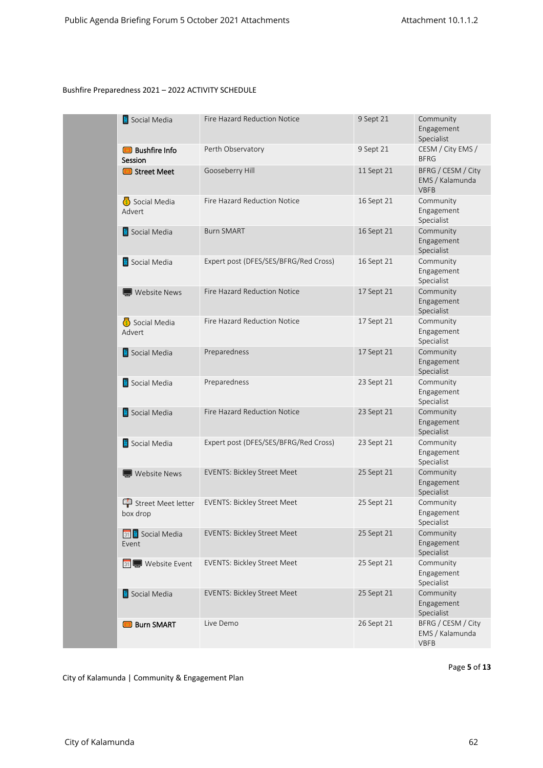| Social Media                    | Fire Hazard Reduction Notice          | 9 Sept 21  | Community<br>Engagement<br>Specialist                |
|---------------------------------|---------------------------------------|------------|------------------------------------------------------|
| <b>Bushfire Info</b><br>Session | Perth Observatory                     | 9 Sept 21  | CESM / City EMS /<br><b>BFRG</b>                     |
| Street Meet                     | Gooseberry Hill                       | 11 Sept 21 | BFRG / CESM / City<br>EMS / Kalamunda<br><b>VBFB</b> |
| Social Media<br>Advert          | Fire Hazard Reduction Notice          | 16 Sept 21 | Community<br>Engagement<br>Specialist                |
| Social Media                    | <b>Burn SMART</b>                     | 16 Sept 21 | Community<br>Engagement<br>Specialist                |
| Social Media                    | Expert post (DFES/SES/BFRG/Red Cross) | 16 Sept 21 | Community<br>Engagement<br>Specialist                |
| Website News                    | Fire Hazard Reduction Notice          | 17 Sept 21 | Community<br>Engagement<br>Specialist                |
| Social Media<br>Advert          | Fire Hazard Reduction Notice          | 17 Sept 21 | Community<br>Engagement<br>Specialist                |
| Social Media                    | Preparedness                          | 17 Sept 21 | Community<br>Engagement<br>Specialist                |
| Social Media                    | Preparedness                          | 23 Sept 21 | Community<br>Engagement<br>Specialist                |
| Social Media                    | Fire Hazard Reduction Notice          | 23 Sept 21 | Community<br>Engagement<br>Specialist                |
| Social Media                    | Expert post (DFES/SES/BFRG/Red Cross) | 23 Sept 21 | Community<br>Engagement<br>Specialist                |
| Website News                    | <b>EVENTS: Bickley Street Meet</b>    | 25 Sept 21 | Community<br>Engagement<br>Specialist                |
| Street Meet letter<br>box drop  | <b>EVENTS: Bickley Street Meet</b>    | 25 Sept 21 | Community<br>Engagement<br>Specialist                |
| 31 Social Media<br>Event        | <b>EVENTS: Bickley Street Meet</b>    | 25 Sept 21 | Community<br>Engagement<br>Specialist                |
| 31 Website Event                | <b>EVENTS: Bickley Street Meet</b>    | 25 Sept 21 | Community<br>Engagement<br>Specialist                |
| Social Media                    | <b>EVENTS: Bickley Street Meet</b>    | 25 Sept 21 | Community<br>Engagement<br>Specialist                |
| <b>Burn SMART</b>               | Live Demo                             | 26 Sept 21 | BFRG / CESM / City<br>EMS / Kalamunda<br><b>VBFB</b> |

Page 5 of 13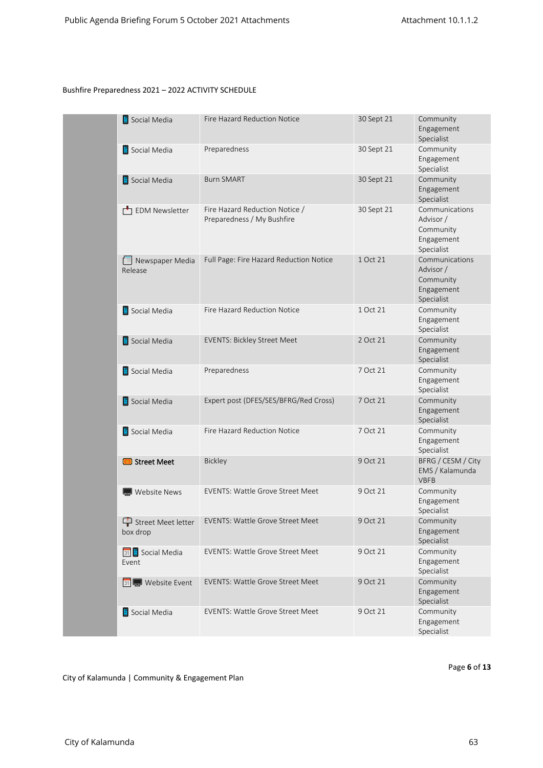| Social Media               | <b>Fire Hazard Reduction Notice</b>                          | 30 Sept 21 | Community<br>Engagement<br>Specialist                                |
|----------------------------|--------------------------------------------------------------|------------|----------------------------------------------------------------------|
| Social Media               | Preparedness                                                 | 30 Sept 21 | Community<br>Engagement<br>Specialist                                |
| Social Media               | <b>Burn SMART</b>                                            | 30 Sept 21 | Community<br>Engagement<br>Specialist                                |
| EDM Newsletter             | Fire Hazard Reduction Notice /<br>Preparedness / My Bushfire | 30 Sept 21 | Communications<br>Advisor /<br>Community<br>Engagement<br>Specialist |
| Newspaper Media<br>Release | Full Page: Fire Hazard Reduction Notice                      | 1 Oct 21   | Communications<br>Advisor /<br>Community<br>Engagement<br>Specialist |
| Social Media               | Fire Hazard Reduction Notice                                 | 1 Oct 21   | Community<br>Engagement<br>Specialist                                |
| Social Media               | <b>EVENTS: Bickley Street Meet</b>                           | 2 Oct 21   | Community<br>Engagement<br>Specialist                                |
| Social Media               | Preparedness                                                 | 7 Oct 21   | Community<br>Engagement<br>Specialist                                |
| Social Media               | Expert post (DFES/SES/BFRG/Red Cross)                        | 7 Oct 21   | Community<br>Engagement<br>Specialist                                |
| Social Media               | Fire Hazard Reduction Notice                                 | 7 Oct 21   | Community<br>Engagement<br>Specialist                                |
| Street Meet                | Bickley                                                      | 9 Oct 21   | BFRG / CESM / City<br>EMS / Kalamunda<br><b>VBFB</b>                 |
| Website News               | <b>EVENTS: Wattle Grove Street Meet</b>                      | 9 Oct 21   | Community<br>Engagement<br>Specialist                                |
| box drop                   | Street Meet letter EVENTS: Wattle Grove Street Meet          | 9 Oct 21   | Community<br>Engagement<br>Specialist                                |
| 31 Social Media<br>Event   | <b>EVENTS: Wattle Grove Street Meet</b>                      | 9 Oct 21   | Community<br>Engagement<br>Specialist                                |
| 31 Website Event           | <b>EVENTS: Wattle Grove Street Meet</b>                      | 9 Oct 21   | Community<br>Engagement<br>Specialist                                |
| Social Media               | EVENTS: Wattle Grove Street Meet                             | 9 Oct 21   | Community<br>Engagement<br>Specialist                                |

Page 6 of 13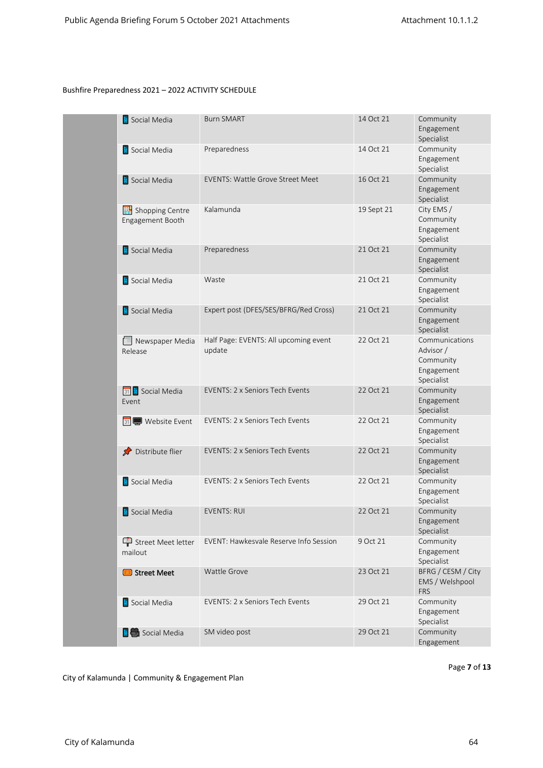| Social Media                        | <b>Burn SMART</b>                               | 14 Oct 21  | Community<br>Engagement<br>Specialist                                |
|-------------------------------------|-------------------------------------------------|------------|----------------------------------------------------------------------|
| Social Media                        | Preparedness                                    | 14 Oct 21  | Community<br>Engagement<br>Specialist                                |
| Social Media                        | <b>EVENTS: Wattle Grove Street Meet</b>         | 16 Oct 21  | Community<br>Engagement<br>Specialist                                |
| Shopping Centre<br>Engagement Booth | Kalamunda                                       | 19 Sept 21 | City EMS /<br>Community<br>Engagement<br>Specialist                  |
| Social Media                        | Preparedness                                    | 21 Oct 21  | Community<br>Engagement<br>Specialist                                |
| Social Media                        | Waste                                           | 21 Oct 21  | Community<br>Engagement<br>Specialist                                |
| Social Media                        | Expert post (DFES/SES/BFRG/Red Cross)           | 21 Oct 21  | Community<br>Engagement<br>Specialist                                |
| Newspaper Media<br>Release          | Half Page: EVENTS: All upcoming event<br>update | 22 Oct 21  | Communications<br>Advisor /<br>Community<br>Engagement<br>Specialist |
| 31 Social Media<br>Event            | <b>EVENTS: 2 x Seniors Tech Events</b>          | 22 Oct 21  | Community<br>Engagement<br>Specialist                                |
| 31 Website Event                    | EVENTS: 2 x Seniors Tech Events                 | 22 Oct 21  | Community<br>Engagement<br>Specialist                                |
| Distribute flier                    | <b>EVENTS: 2 x Seniors Tech Events</b>          | 22 Oct 21  | Community<br>Engagement<br>Specialist                                |
| Social Media                        | <b>EVENTS: 2 x Seniors Tech Events</b>          | 22 Oct 21  | Community<br>Engagement<br>Specialist                                |
| Social Media                        | <b>EVENTS: RUI</b>                              | 22 Oct 21  | Community<br>Engagement<br>Specialist                                |
| Street Meet letter<br>mailout       | EVENT: Hawkesvale Reserve Info Session          | 9 Oct 21   | Community<br>Engagement<br>Specialist                                |
| Street Meet                         | Wattle Grove                                    | 23 Oct 21  | BFRG / CESM / City<br>EMS / Welshpool<br><b>FRS</b>                  |
| Social Media                        | EVENTS: 2 x Seniors Tech Events                 | 29 Oct 21  | Community<br>Engagement<br>Specialist                                |
| <b>E</b> Social Media               | SM video post                                   | 29 Oct 21  | Community<br>Engagement                                              |

Page 7 of 13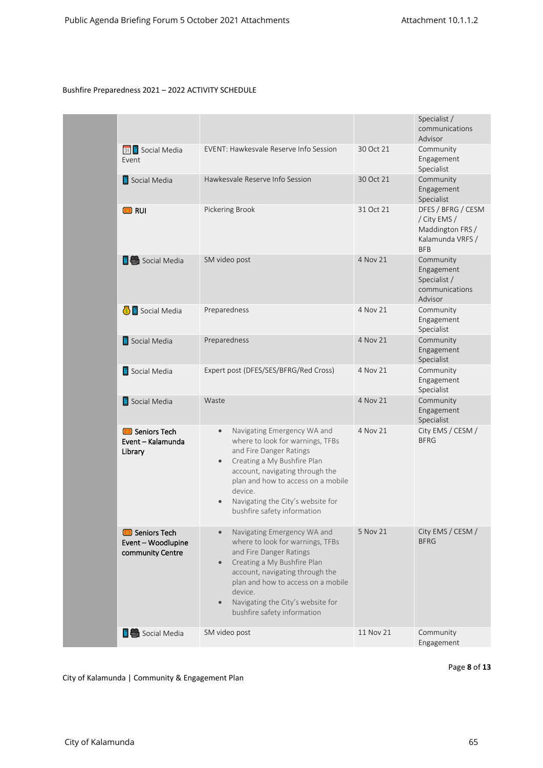|                                                                 |                                                                                                                                                                                                                                                                                                             |           | Specialist /<br>communications<br>Advisor                                                |
|-----------------------------------------------------------------|-------------------------------------------------------------------------------------------------------------------------------------------------------------------------------------------------------------------------------------------------------------------------------------------------------------|-----------|------------------------------------------------------------------------------------------|
| 31 Social Media<br>Event                                        | EVENT: Hawkesvale Reserve Info Session                                                                                                                                                                                                                                                                      | 30 Oct 21 | Community<br>Engagement<br>Specialist                                                    |
| Social Media                                                    | Hawkesvale Reserve Info Session                                                                                                                                                                                                                                                                             | 30 Oct 21 | Community<br>Engagement<br>Specialist                                                    |
| <b>D</b> RUI                                                    | Pickering Brook                                                                                                                                                                                                                                                                                             | 31 Oct 21 | DFES / BFRG / CESM<br>/ City EMS /<br>Maddington FRS /<br>Kalamunda VRFS /<br><b>BFB</b> |
| $\mathbf{E}$ Social Media                                       | SM video post                                                                                                                                                                                                                                                                                               | 4 Nov 21  | Community<br>Engagement<br>Specialist /<br>communications<br>Advisor                     |
| Social Media                                                    | Preparedness                                                                                                                                                                                                                                                                                                | 4 Nov 21  | Community<br>Engagement<br>Specialist                                                    |
| Social Media                                                    | Preparedness                                                                                                                                                                                                                                                                                                | 4 Nov 21  | Community<br>Engagement<br>Specialist                                                    |
| Social Media                                                    | Expert post (DFES/SES/BFRG/Red Cross)                                                                                                                                                                                                                                                                       | 4 Nov 21  | Community<br>Engagement<br>Specialist                                                    |
| Social Media                                                    | Waste                                                                                                                                                                                                                                                                                                       | 4 Nov 21  | Community<br>Engagement<br>Specialist                                                    |
| Seniors Tech<br>Event - Kalamunda<br>Library                    | Navigating Emergency WA and<br>$\bullet$<br>where to look for warnings, TFBs<br>and Fire Danger Ratings<br>Creating a My Bushfire Plan<br>account, navigating through the<br>plan and how to access on a mobile<br>device.<br>Navigating the City's website for<br>bushfire safety information              | 4 Nov 21  | City EMS / CESM /<br><b>BFRG</b>                                                         |
| <b>B</b> Seniors Tech<br>Event - Woodlupine<br>community Centre | Navigating Emergency WA and<br>where to look for warnings, TFBs<br>and Fire Danger Ratings<br>Creating a My Bushfire Plan<br>$\bullet$<br>account, navigating through the<br>plan and how to access on a mobile<br>device.<br>Navigating the City's website for<br>$\bullet$<br>bushfire safety information | 5 Nov 21  | City EMS / CESM /<br><b>BFRG</b>                                                         |
| <b>E</b> Social Media                                           | SM video post                                                                                                                                                                                                                                                                                               | 11 Nov 21 | Community<br>Engagement                                                                  |

Page 8 of 13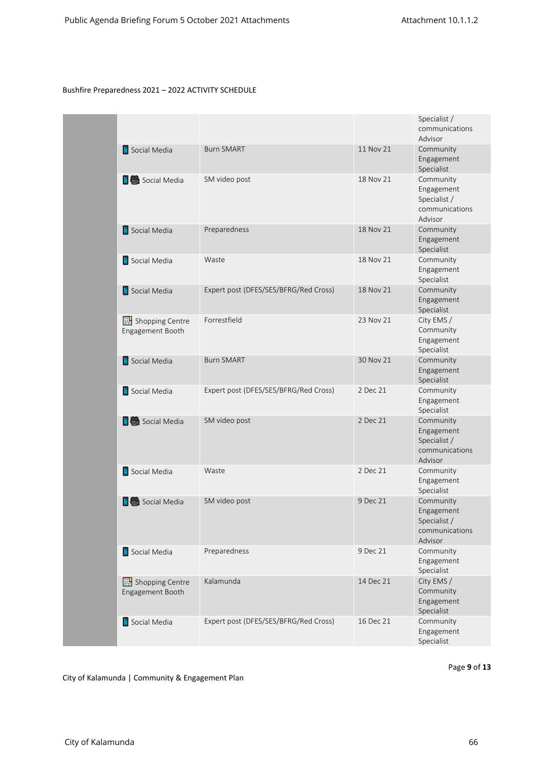|                                           |                                       |           | Specialist /<br>communications<br>Advisor                            |
|-------------------------------------------|---------------------------------------|-----------|----------------------------------------------------------------------|
| Social Media                              | <b>Burn SMART</b>                     | 11 Nov 21 | Community<br>Engagement<br>Specialist                                |
| <b>E</b> C Social Media                   | SM video post                         | 18 Nov 21 | Community<br>Engagement<br>Specialist /<br>communications<br>Advisor |
| Social Media                              | Preparedness                          | 18 Nov 21 | Community<br>Engagement<br>Specialist                                |
| Social Media                              | Waste                                 | 18 Nov 21 | Community<br>Engagement<br>Specialist                                |
| Social Media                              | Expert post (DFES/SES/BFRG/Red Cross) | 18 Nov 21 | Community<br>Engagement<br>Specialist                                |
| Shopping Centre<br>Engagement Booth       | Forrestfield                          | 23 Nov 21 | City EMS /<br>Community<br>Engagement<br>Specialist                  |
| Social Media                              | <b>Burn SMART</b>                     | 30 Nov 21 | Community<br>Engagement<br>Specialist                                |
| Social Media                              | Expert post (DFES/SES/BFRG/Red Cross) | 2 Dec 21  | Community<br>Engagement<br>Specialist                                |
| <b>E</b> Social Media                     | SM video post                         | 2 Dec 21  | Community<br>Engagement<br>Specialist /<br>communications<br>Advisor |
| Social Media                              | Waste                                 | 2 Dec 21  | Community<br>Engagement<br>Specialist                                |
| $\left  \frac{1}{2} \right $ Social Media | SM video post                         | 9 Dec 21  | Community<br>Engagement<br>Specialist /<br>communications<br>Advisor |
| Social Media                              | Preparedness                          | 9 Dec 21  | Community<br>Engagement<br>Specialist                                |
| Shopping Centre<br>Engagement Booth       | Kalamunda                             | 14 Dec 21 | City EMS /<br>Community<br>Engagement<br>Specialist                  |
| Social Media                              | Expert post (DFES/SES/BFRG/Red Cross) | 16 Dec 21 | Community<br>Engagement<br>Specialist                                |

Page 9 of 13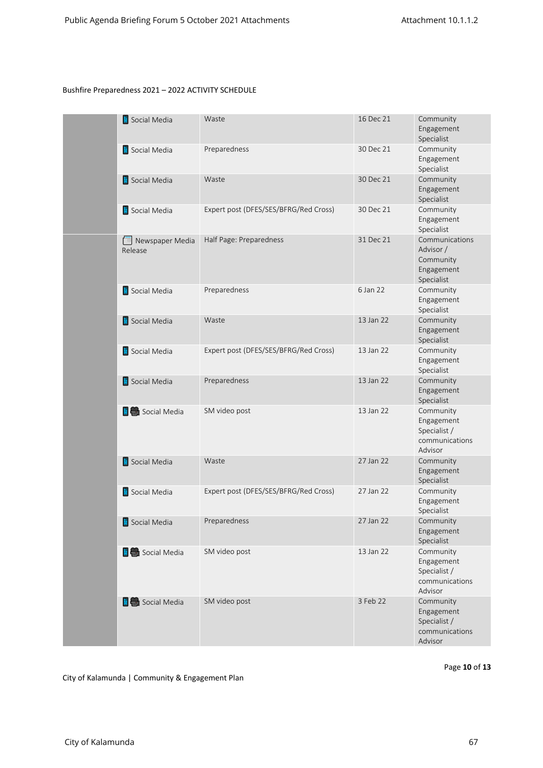| Social Media               | Waste                                 | 16 Dec 21 | Community<br>Engagement<br>Specialist                                |
|----------------------------|---------------------------------------|-----------|----------------------------------------------------------------------|
| Social Media               | Preparedness                          | 30 Dec 21 | Community<br>Engagement<br>Specialist                                |
| Social Media               | Waste                                 | 30 Dec 21 | Community<br>Engagement<br>Specialist                                |
| Social Media               | Expert post (DFES/SES/BFRG/Red Cross) | 30 Dec 21 | Community<br>Engagement<br>Specialist                                |
| Newspaper Media<br>Release | Half Page: Preparedness               | 31 Dec 21 | Communications<br>Advisor /<br>Community<br>Engagement<br>Specialist |
| Social Media               | Preparedness                          | 6 Jan 22  | Community<br>Engagement<br>Specialist                                |
| Social Media               | Waste                                 | 13 Jan 22 | Community<br>Engagement<br>Specialist                                |
| Social Media               | Expert post (DFES/SES/BFRG/Red Cross) | 13 Jan 22 | Community<br>Engagement<br>Specialist                                |
| Social Media               | Preparedness                          | 13 Jan 22 | Community<br>Engagement<br>Specialist                                |
| <b>E</b> Social Media      | SM video post                         | 13 Jan 22 | Community<br>Engagement<br>Specialist /<br>communications<br>Advisor |
| Social Media               | Waste                                 | 27 Jan 22 | Community<br>Engagement<br>Specialist                                |
| Social Media               | Expert post (DFES/SES/BFRG/Red Cross) | 27 Jan 22 | Community<br>Engagement<br>Specialist                                |
| Social Media               | Preparedness                          | 27 Jan 22 | Community<br>Engagement<br>Specialist                                |
| <b>E</b> C Social Media    | SM video post                         | 13 Jan 22 | Community<br>Engagement<br>Specialist /<br>communications<br>Advisor |
| <b>E</b> Social Media      | SM video post                         | 3 Feb 22  | Community<br>Engagement<br>Specialist /<br>communications<br>Advisor |

Page 10 of 13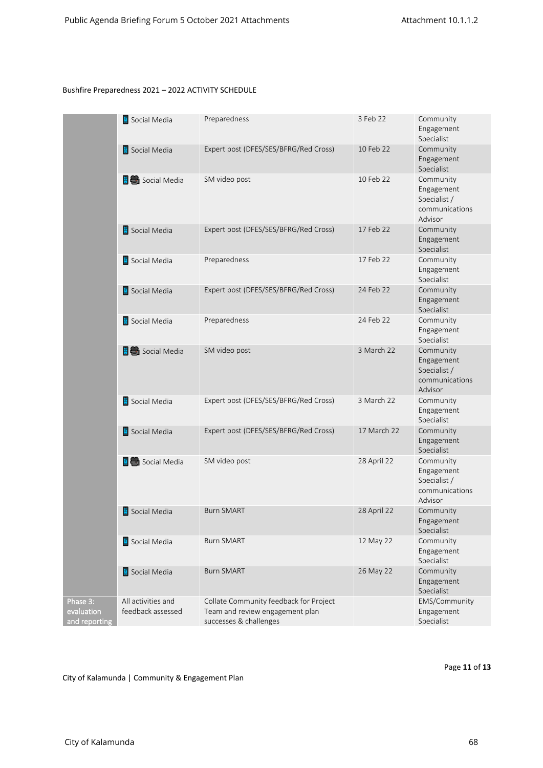|                                         | Social Media                            | Preparedness                                                                                        | 3 Feb 22    | Community<br>Engagement<br>Specialist                                |
|-----------------------------------------|-----------------------------------------|-----------------------------------------------------------------------------------------------------|-------------|----------------------------------------------------------------------|
|                                         | Social Media                            | Expert post (DFES/SES/BFRG/Red Cross)                                                               | 10 Feb 22   | Community<br>Engagement<br>Specialist                                |
|                                         | <b>E</b> Social Media                   | SM video post                                                                                       | 10 Feb 22   | Community<br>Engagement<br>Specialist /<br>communications<br>Advisor |
|                                         | Social Media                            | Expert post (DFES/SES/BFRG/Red Cross)                                                               | 17 Feb 22   | Community<br>Engagement<br>Specialist                                |
|                                         | Social Media                            | Preparedness                                                                                        | 17 Feb 22   | Community<br>Engagement<br>Specialist                                |
|                                         | Social Media                            | Expert post (DFES/SES/BFRG/Red Cross)                                                               | 24 Feb 22   | Community<br>Engagement<br>Specialist                                |
|                                         | Social Media                            | Preparedness                                                                                        | 24 Feb 22   | Community<br>Engagement<br>Specialist                                |
|                                         | <b>E C</b> Social Media                 | SM video post                                                                                       | 3 March 22  | Community<br>Engagement<br>Specialist /<br>communications<br>Advisor |
|                                         | Social Media                            | Expert post (DFES/SES/BFRG/Red Cross)                                                               | 3 March 22  | Community<br>Engagement<br>Specialist                                |
|                                         | Social Media                            | Expert post (DFES/SES/BFRG/Red Cross)                                                               | 17 March 22 | Community<br>Engagement<br>Specialist                                |
|                                         | <b>E</b> Social Media                   | SM video post                                                                                       | 28 April 22 | Community<br>Engagement<br>Specialist /<br>communications<br>Advisor |
|                                         | Social Media                            | <b>Burn SMART</b>                                                                                   | 28 April 22 | Community<br>Engagement<br>Specialist                                |
|                                         | Social Media                            | <b>Burn SMART</b>                                                                                   | 12 May 22   | Community<br>Engagement<br>Specialist                                |
|                                         | Social Media                            | <b>Burn SMART</b>                                                                                   | 26 May 22   | Community<br>Engagement<br>Specialist                                |
| Phase 3:<br>evaluation<br>and reporting | All activities and<br>feedback assessed | Collate Community feedback for Project<br>Team and review engagement plan<br>successes & challenges |             | EMS/Community<br>Engagement<br>Specialist                            |

City of Kalamunda | Community & Engagement Plan

Page 11 of 13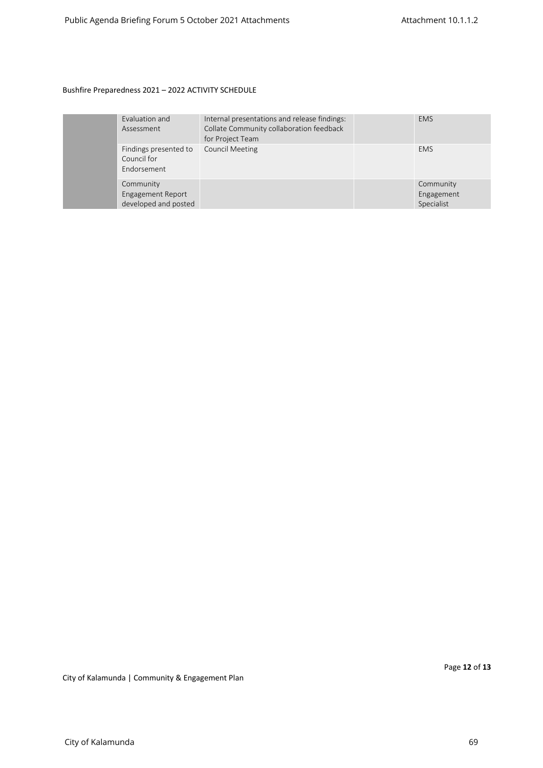|  | Evaluation and<br>Assessment                                  | Internal presentations and release findings:<br>Collate Community collaboration feedback<br>for Project Team | <b>EMS</b>                            |
|--|---------------------------------------------------------------|--------------------------------------------------------------------------------------------------------------|---------------------------------------|
|  | Findings presented to<br>Council for<br>Endorsement           | <b>Council Meeting</b>                                                                                       | <b>EMS</b>                            |
|  | Community<br><b>Engagement Report</b><br>developed and posted |                                                                                                              | Community<br>Engagement<br>Specialist |

Page **12** of **13**